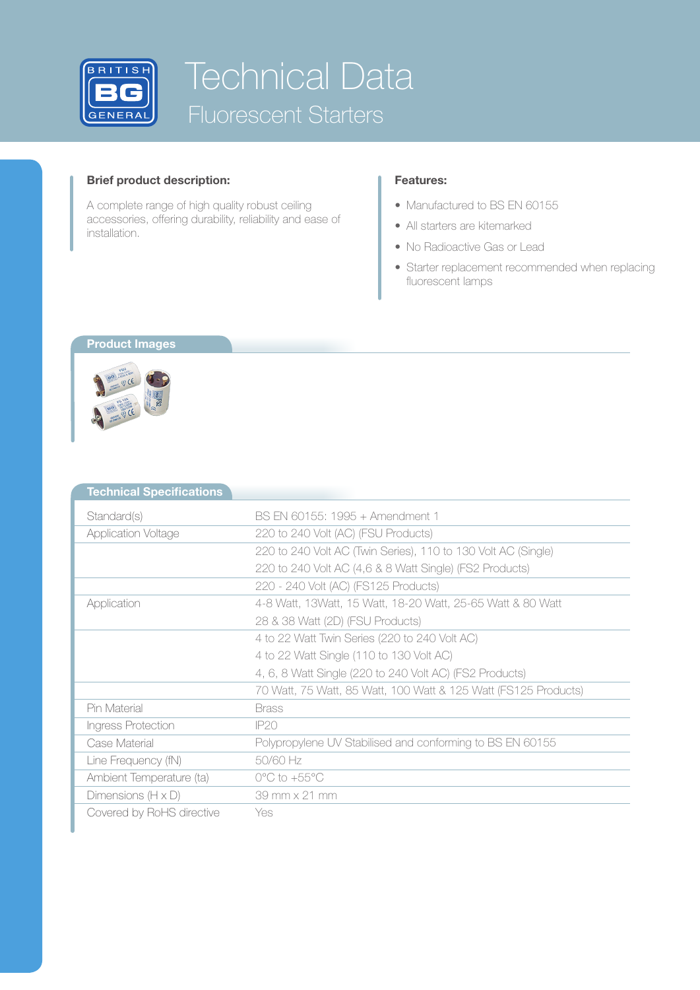

# Technical Data Fluorescent Starters

#### **Brief product description:**

A complete range of high quality robust ceiling accessories, offering durability, reliability and ease of installation.

### **Features:**

- Manufactured to BS EN 60155
- All starters are kitemarked
- No Radioactive Gas or Lead
- Starter replacement recommended when replacing fluorescent lamps

#### **Product Images**



| <b>Technical Specifications</b> |                                                                 |
|---------------------------------|-----------------------------------------------------------------|
| Standard(s)                     | BS EN 60155: 1995 + Amendment 1                                 |
| <b>Application Voltage</b>      | 220 to 240 Volt (AC) (FSU Products)                             |
|                                 | 220 to 240 Volt AC (Twin Series), 110 to 130 Volt AC (Single)   |
|                                 | 220 to 240 Volt AC (4,6 & 8 Watt Single) (FS2 Products)         |
|                                 | 220 - 240 Volt (AC) (FS125 Products)                            |
| Application                     | 4-8 Watt, 13Watt, 15 Watt, 18-20 Watt, 25-65 Watt & 80 Watt     |
|                                 | 28 & 38 Watt (2D) (FSU Products)                                |
|                                 | 4 to 22 Watt Twin Series (220 to 240 Volt AC)                   |
|                                 | 4 to 22 Watt Single (110 to 130 Volt AC)                        |
|                                 | 4, 6, 8 Watt Single (220 to 240 Volt AC) (FS2 Products)         |
|                                 | 70 Watt, 75 Watt, 85 Watt, 100 Watt & 125 Watt (FS125 Products) |
| Pin Material                    | <b>Brass</b>                                                    |
| Ingress Protection              | IP20                                                            |
| Case Material                   | Polypropylene UV Stabilised and conforming to BS EN 60155       |
| Line Frequency (fN)             | 50/60 Hz                                                        |
| Ambient Temperature (ta)        | $0^{\circ}$ C to +55 $^{\circ}$ C                               |
| Dimensions $(H \times D)$       | 39 mm x 21 mm                                                   |
| Covered by RoHS directive       | Yes                                                             |